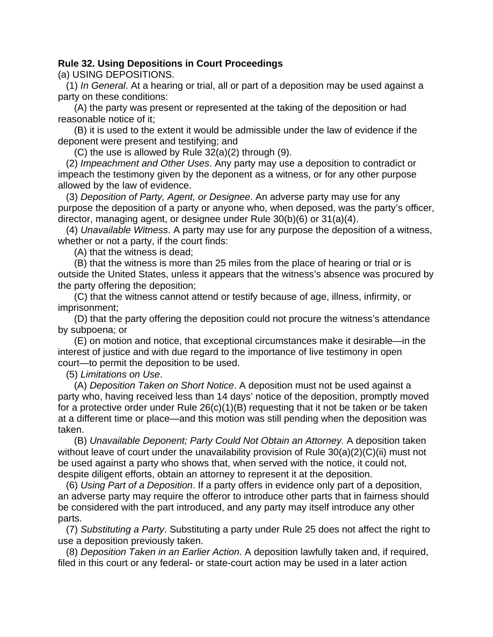## **Rule 32. Using Depositions in Court Proceedings**

(a) USING DEPOSITIONS.

 (1) *In General*. At a hearing or trial, all or part of a deposition may be used against a party on these conditions:

 (A) the party was present or represented at the taking of the deposition or had reasonable notice of it;

 (B) it is used to the extent it would be admissible under the law of evidence if the deponent were present and testifying; and

(C) the use is allowed by Rule 32(a)(2) through (9).

 (2) *Impeachment and Other Uses*. Any party may use a deposition to contradict or impeach the testimony given by the deponent as a witness, or for any other purpose allowed by the law of evidence.

 (3) *Deposition of Party, Agent, or Designee*. An adverse party may use for any purpose the deposition of a party or anyone who, when deposed, was the party's officer, director, managing agent, or designee under Rule 30(b)(6) or 31(a)(4).

 (4) *Unavailable Witness*. A party may use for any purpose the deposition of a witness, whether or not a party, if the court finds:

(A) that the witness is dead;

 (B) that the witness is more than 25 miles from the place of hearing or trial or is outside the United States, unless it appears that the witness's absence was procured by the party offering the deposition;

 (C) that the witness cannot attend or testify because of age, illness, infirmity, or imprisonment;

 (D) that the party offering the deposition could not procure the witness's attendance by subpoena; or

 (E) on motion and notice, that exceptional circumstances make it desirable—in the interest of justice and with due regard to the importance of live testimony in open court—to permit the deposition to be used.

(5) *Limitations on Use*.

 (A) *Deposition Taken on Short Notice*. A deposition must not be used against a party who, having received less than 14 days' notice of the deposition, promptly moved for a protective order under Rule 26(c)(1)(B) requesting that it not be taken or be taken at a different time or place—and this motion was still pending when the deposition was taken.

 (B) *Unavailable Deponent; Party Could Not Obtain an Attorney.* A deposition taken without leave of court under the unavailability provision of Rule 30(a)(2)(C)(ii) must not be used against a party who shows that, when served with the notice, it could not, despite diligent efforts, obtain an attorney to represent it at the deposition.

 (6) *Using Part of a Deposition*. If a party offers in evidence only part of a deposition, an adverse party may require the offeror to introduce other parts that in fairness should be considered with the part introduced, and any party may itself introduce any other parts.

 (7) *Substituting a Party*. Substituting a party under Rule 25 does not affect the right to use a deposition previously taken.

 (8) *Deposition Taken in an Earlier Action*. A deposition lawfully taken and, if required, filed in this court or any federal- or state-court action may be used in a later action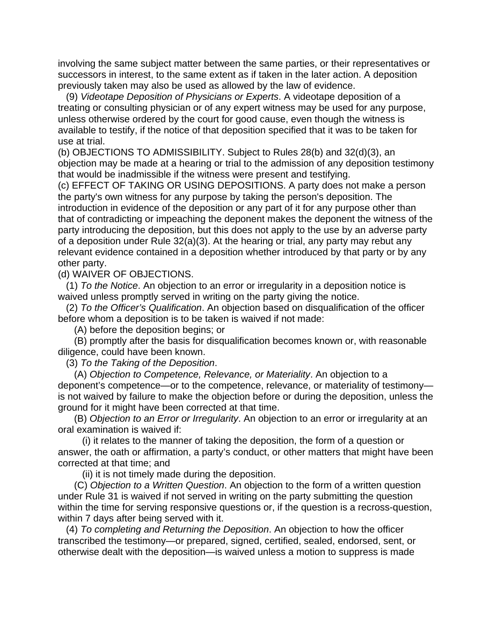involving the same subject matter between the same parties, or their representatives or successors in interest, to the same extent as if taken in the later action. A deposition previously taken may also be used as allowed by the law of evidence.

 (9) *Videotape Deposition of Physicians or Experts*. A videotape deposition of a treating or consulting physician or of any expert witness may be used for any purpose, unless otherwise ordered by the court for good cause, even though the witness is available to testify, if the notice of that deposition specified that it was to be taken for use at trial.

(b) OBJECTIONS TO ADMISSIBILITY. Subject to Rules 28(b) and 32(d)(3), an objection may be made at a hearing or trial to the admission of any deposition testimony that would be inadmissible if the witness were present and testifying.

(c) EFFECT OF TAKING OR USING DEPOSITIONS. A party does not make a person the party's own witness for any purpose by taking the person's deposition. The introduction in evidence of the deposition or any part of it for any purpose other than that of contradicting or impeaching the deponent makes the deponent the witness of the party introducing the deposition, but this does not apply to the use by an adverse party of a deposition under Rule 32(a)(3). At the hearing or trial, any party may rebut any relevant evidence contained in a deposition whether introduced by that party or by any other party.

## (d) WAIVER OF OBJECTIONS.

 (1) *To the Notice*. An objection to an error or irregularity in a deposition notice is waived unless promptly served in writing on the party giving the notice.

 (2) *To the Officer's Qualification*. An objection based on disqualification of the officer before whom a deposition is to be taken is waived if not made:

(A) before the deposition begins; or

 (B) promptly after the basis for disqualification becomes known or, with reasonable diligence, could have been known.

(3) *To the Taking of the Deposition*.

 (A) *Objection to Competence, Relevance, or Materiality*. An objection to a deponent's competence—or to the competence, relevance, or materiality of testimony is not waived by failure to make the objection before or during the deposition, unless the ground for it might have been corrected at that time.

 (B) *Objection to an Error or Irregularity*. An objection to an error or irregularity at an oral examination is waived if:

 (i) it relates to the manner of taking the deposition, the form of a question or answer, the oath or affirmation, a party's conduct, or other matters that might have been corrected at that time; and

(ii) it is not timely made during the deposition.

 (C) *Objection to a Written Question*. An objection to the form of a written question under Rule 31 is waived if not served in writing on the party submitting the question within the time for serving responsive questions or, if the question is a recross-question, within 7 days after being served with it.

 (4) *To completing and Returning the Deposition*. An objection to how the officer transcribed the testimony—or prepared, signed, certified, sealed, endorsed, sent, or otherwise dealt with the deposition—is waived unless a motion to suppress is made